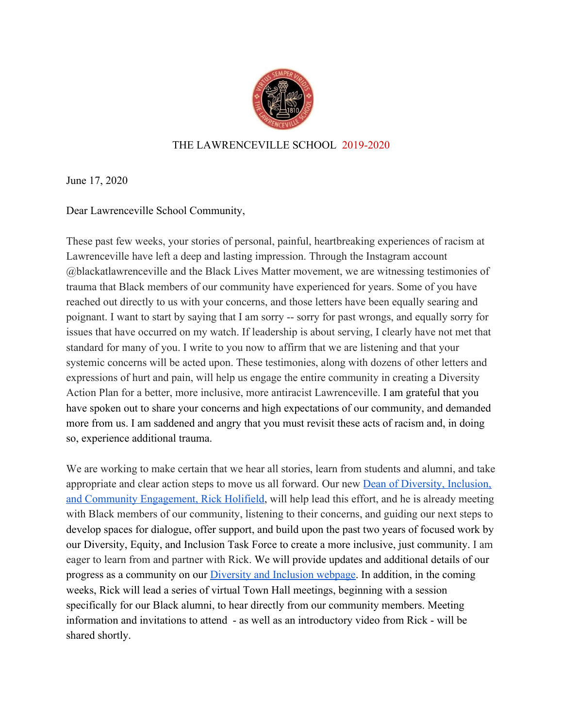

## THE LAWRENCEVILLE SCHOOL 2019-2020

June 17, 2020

Dear Lawrenceville School Community,

These past few weeks, your stories of personal, painful, heartbreaking experiences of racism at Lawrenceville have left a deep and lasting impression. Through the Instagram account @blackatlawrenceville and the Black Lives Matter movement, we are witnessing testimonies of trauma that Black members of our community have experienced for years. Some of you have reached out directly to us with your concerns, and those letters have been equally searing and poignant. I want to start by saying that I am sorry -- sorry for past wrongs, and equally sorry for issues that have occurred on my watch. If leadership is about serving, I clearly have not met that standard for many of you. I write to you now to affirm that we are listening and that your systemic concerns will be acted upon. These testimonies, along with dozens of other letters and expressions of hurt and pain, will help us engage the entire community in creating a Diversity Action Plan for a better, more inclusive, more antiracist Lawrenceville. I am grateful that you have spoken out to share your concerns and high expectations of our community, and demanded more from us. I am saddened and angry that you must revisit these acts of racism and, in doing so, experience additional trauma.

We are working to make certain that we hear all stories, learn from students and alumni, and take appropriate and clear action steps to move us all forward. Our new [Dean of Diversity, Inclusion,](https://www.lawrenceville.org/diversity-inclusion--community-engagement) [and Community Engagement, Rick Holifield,](https://www.lawrenceville.org/diversity-inclusion--community-engagement) will help lead this effort, and he is already meeting with Black members of our community, listening to their concerns, and guiding our next steps to develop spaces for dialogue, offer support, and build upon the past two years of focused work by our Diversity, Equity, and Inclusion Task Force to create a more inclusive, just community. I am eager to learn from and partner with Rick. We will provide updates and additional details of our progress as a community on our [Diversity and Inclusion webpage.](https://www.lawrenceville.org/about/diversity-and-inclusion) In addition, in the coming weeks, Rick will lead a series of virtual Town Hall meetings, beginning with a session specifically for our Black alumni, to hear directly from our community members. Meeting information and invitations to attend - as well as an introductory video from Rick - will be shared shortly.